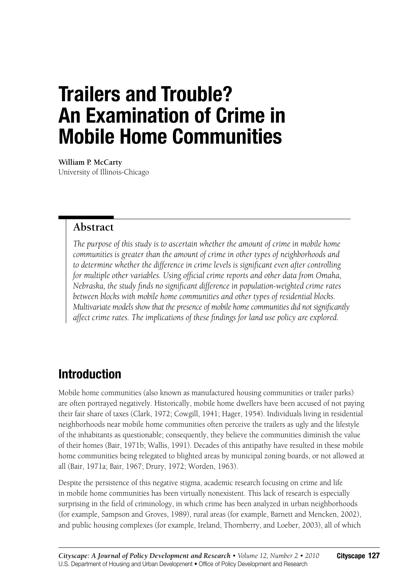# **Trailers and Trouble? An Examination of Crime in Mobile Home Communities**

**William P. McCarty** University of Illinois-Chicago

#### **Abstract**

*The purpose of this study is to ascertain whether the amount of crime in mobile home communities is greater than the amount of crime in other types of neighborhoods and to determine whether the difference in crime levels is significant even after controlling for multiple other variables. Using official crime reports and other data from Omaha, Nebraska, the study finds no significant difference in population-weighted crime rates between blocks with mobile home communities and other types of residential blocks. Multivariate models show that the presence of mobile home communities did not significantly affect crime rates. The implications of these findings for land use policy are explored.*

# **Introduction**

Mobile home communities (also known as manufactured housing communities or trailer parks) are often portrayed negatively. Historically, mobile home dwellers have been accused of not paying their fair share of taxes (Clark, 1972; Cowgill, 1941; Hager, 1954). Individuals living in residential neighborhoods near mobile home communities often perceive the trailers as ugly and the lifestyle of the inhabitants as questionable; consequently, they believe the communities diminish the value of their homes (Bair, 1971b; Wallis, 1991). Decades of this antipathy have resulted in these mobile home communities being relegated to blighted areas by municipal zoning boards, or not allowed at all (Bair, 1971a; Bair, 1967; Drury, 1972; Worden, 1963).

Despite the persistence of this negative stigma, academic research focusing on crime and life in mobile home communities has been virtually nonexistent. This lack of research is especially surprising in the field of criminology, in which crime has been analyzed in urban neighborhoods (for example, Sampson and Groves, 1989), rural areas (for example, Barnett and Mencken, 2002), and public housing complexes (for example, Ireland, Thornberry, and Loeber, 2003), all of which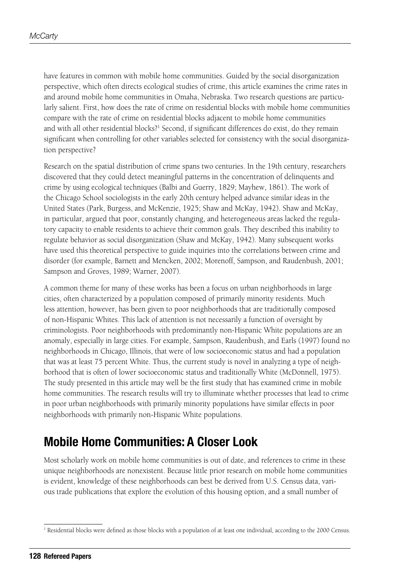have features in common with mobile home communities. Guided by the social disorganization perspective, which often directs ecological studies of crime, this article examines the crime rates in and around mobile home communities in Omaha, Nebraska. Two research questions are particularly salient. First, how does the rate of crime on residential blocks with mobile home communities compare with the rate of crime on residential blocks adjacent to mobile home communities and with all other residential blocks?<sup>1</sup> Second, if significant differences do exist, do they remain significant when controlling for other variables selected for consistency with the social disorganization perspective?

Research on the spatial distribution of crime spans two centuries. In the 19th century, researchers discovered that they could detect meaningful patterns in the concentration of delinquents and crime by using ecological techniques (Balbi and Guerry, 1829; Mayhew, 1861). The work of the Chicago School sociologists in the early 20th century helped advance similar ideas in the United States (Park, Burgess, and McKenzie, 1925; Shaw and McKay, 1942). Shaw and McKay, in particular, argued that poor, constantly changing, and heterogeneous areas lacked the regulatory capacity to enable residents to achieve their common goals. They described this inability to regulate behavior as social disorganization (Shaw and McKay, 1942). Many subsequent works have used this theoretical perspective to guide inquiries into the correlations between crime and disorder (for example, Barnett and Mencken, 2002; Morenoff, Sampson, and Raudenbush, 2001; Sampson and Groves, 1989; Warner, 2007).

A common theme for many of these works has been a focus on urban neighborhoods in large cities, often characterized by a population composed of primarily minority residents. Much less attention, however, has been given to poor neighborhoods that are traditionally composed of non-Hispanic Whites. This lack of attention is not necessarily a function of oversight by criminologists. Poor neighborhoods with predominantly non-Hispanic White populations are an anomaly, especially in large cities. For example, Sampson, Raudenbush, and Earls (1997) found no neighborhoods in Chicago, Illinois, that were of low socioeconomic status and had a population that was at least 75 percent White. Thus, the current study is novel in analyzing a type of neighborhood that is often of lower socioeconomic status and traditionally White (McDonnell, 1975). The study presented in this article may well be the first study that has examined crime in mobile home communities. The research results will try to illuminate whether processes that lead to crime in poor urban neighborhoods with primarily minority populations have similar effects in poor neighborhoods with primarily non-Hispanic White populations.

### **Mobile Home Communities: A Closer Look**

Most scholarly work on mobile home communities is out of date, and references to crime in these unique neighborhoods are nonexistent. Because little prior research on mobile home communities is evident, knowledge of these neighborhoods can best be derived from U.S. Census data, various trade publications that explore the evolution of this housing option, and a small number of

<sup>&</sup>lt;sup>1</sup> Residential blocks were defined as those blocks with a population of at least one individual, according to the 2000 Census.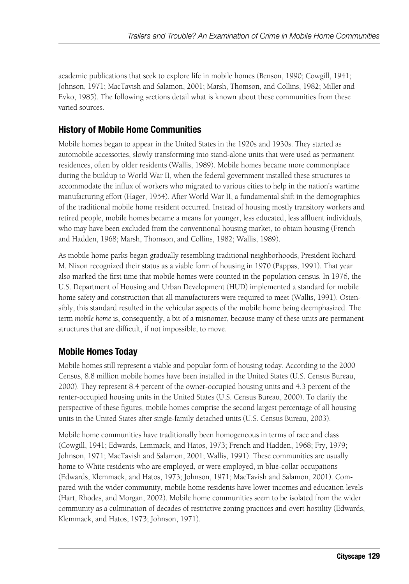academic publications that seek to explore life in mobile homes (Benson, 1990; Cowgill, 1941; Johnson, 1971; MacTavish and Salamon, 2001; Marsh, Thomson, and Collins, 1982; Miller and Evko, 1985). The following sections detail what is known about these communities from these varied sources.

#### **History of Mobile Home Communities**

Mobile homes began to appear in the United States in the 1920s and 1930s. They started as automobile accessories, slowly transforming into stand-alone units that were used as permanent residences, often by older residents (Wallis, 1989). Mobile homes became more commonplace during the buildup to World War II, when the federal government installed these structures to accommodate the influx of workers who migrated to various cities to help in the nation's wartime manufacturing effort (Hager, 1954). After World War II, a fundamental shift in the demographics of the traditional mobile home resident occurred. Instead of housing mostly transitory workers and retired people, mobile homes became a means for younger, less educated, less affluent individuals, who may have been excluded from the conventional housing market, to obtain housing (French and Hadden, 1968; Marsh, Thomson, and Collins, 1982; Wallis, 1989).

As mobile home parks began gradually resembling traditional neighborhoods, President Richard M. Nixon recognized their status as a viable form of housing in 1970 (Pappas, 1991). That year also marked the first time that mobile homes were counted in the population census. In 1976, the U.S. Department of Housing and Urban Development (HUD) implemented a standard for mobile home safety and construction that all manufacturers were required to meet (Wallis, 1991). Ostensibly, this standard resulted in the vehicular aspects of the mobile home being deemphasized. The term *mobile home* is, consequently, a bit of a misnomer, because many of these units are permanent structures that are difficult, if not impossible, to move.

#### **Mobile Homes Today**

Mobile homes still represent a viable and popular form of housing today. According to the 2000 Census, 8.8 million mobile homes have been installed in the United States (U.S. Census Bureau, 2000). They represent 8.4 percent of the owner-occupied housing units and 4.3 percent of the renter-occupied housing units in the United States (U.S. Census Bureau, 2000). To clarify the perspective of these figures, mobile homes comprise the second largest percentage of all housing units in the United States after single-family detached units (U.S. Census Bureau, 2003).

Mobile home communities have traditionally been homogeneous in terms of race and class (Cowgill, 1941; Edwards, Lemmack, and Hatos, 1973; French and Hadden, 1968; Fry, 1979; Johnson, 1971; MacTavish and Salamon, 2001; Wallis, 1991). These communities are usually home to White residents who are employed, or were employed, in blue-collar occupations (Edwards, Klemmack, and Hatos, 1973; Johnson, 1971; MacTavish and Salamon, 2001). Compared with the wider community, mobile home residents have lower incomes and education levels (Hart, Rhodes, and Morgan, 2002). Mobile home communities seem to be isolated from the wider community as a culmination of decades of restrictive zoning practices and overt hostility (Edwards, Klemmack, and Hatos, 1973; Johnson, 1971).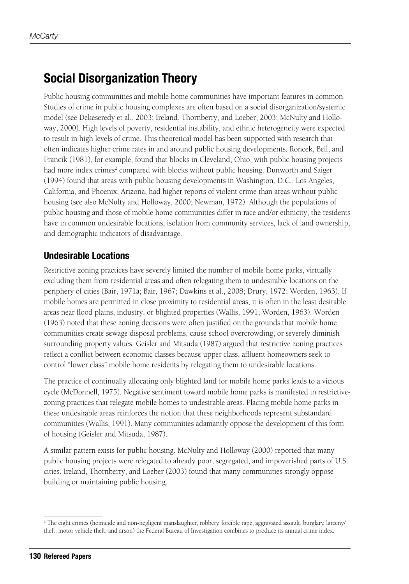### **Social Disorganization Theory**

Public housing communities and mobile home communities have important features in common. Studies of crime in public housing complexes are often based on a social disorganization/systemic model (see Dekeseredy et al., 2003; Ireland, Thornberry, and Loeber, 2003; McNulty and Holloway, 2000). High levels of poverty, residential instability, and ethnic heterogeneity were expected to result in high levels of crime. This theoretical model has been supported with research that often indicates higher crime rates in and around public housing developments. Roncek, Bell, and Francik (1981), for example, found that blocks in Cleveland, Ohio, with public housing projects had more index crimes<sup>2</sup> compared with blocks without public housing. Dunworth and Saiger (1994) found that areas with public housing developments in Washington, D.C., Los Angeles, California, and Phoenix, Arizona, had higher reports of violent crime than areas without public housing (see also McNulty and Holloway, 2000; Newman, 1972). Although the populations of public housing and those of mobile home communities differ in race and/or ethnicity, the residents have in common undesirable locations, isolation from community services, lack of land ownership, and demographic indicators of disadvantage.

#### **Undesirable Locations**

Restrictive zoning practices have severely limited the number of mobile home parks, virtually excluding them from residential areas and often relegating them to undesirable locations on the periphery of cities (Bair, 1971a; Bair, 1967; Dawkins et al., 2008; Drury, 1972; Worden, 1963). If mobile homes are permitted in close proximity to residential areas, it is often in the least desirable areas near flood plains, industry, or blighted properties (Wallis, 1991; Worden, 1963). Worden (1963) noted that these zoning decisions were often justified on the grounds that mobile home communities create sewage disposal problems, cause school overcrowding, or severely diminish surrounding property values. Geisler and Mitsuda (1987) argued that restrictive zoning practices reflect a conflict between economic classes because upper class, affluent homeowners seek to control "lower class" mobile home residents by relegating them to undesirable locations.

The practice of continually allocating only blighted land for mobile home parks leads to a vicious cycle (McDonnell, 1975). Negative sentiment toward mobile home parks is manifested in restrictivezoning practices that relegate mobile homes to undesirable areas. Placing mobile home parks in these undesirable areas reinforces the notion that these neighborhoods represent substandard communities (Wallis, 1991). Many communities adamantly oppose the development of this form of housing (Geisler and Mitsuda, 1987).

A similar pattern exists for public housing. McNulty and Holloway (2000) reported that many public housing projects were relegated to already poor, segregated, and impoverished parts of U.S. cities. Ireland, Thornberry, and Loeber (2003) found that many communities strongly oppose building or maintaining public housing.

<sup>2</sup> The eight crimes (homicide and non-negligent manslaughter, robbery, forcible rape, aggravated assault, burglary, larceny/ theft, motor vehicle theft, and arson) the Federal Bureau of Investigation combines to produce its annual crime index.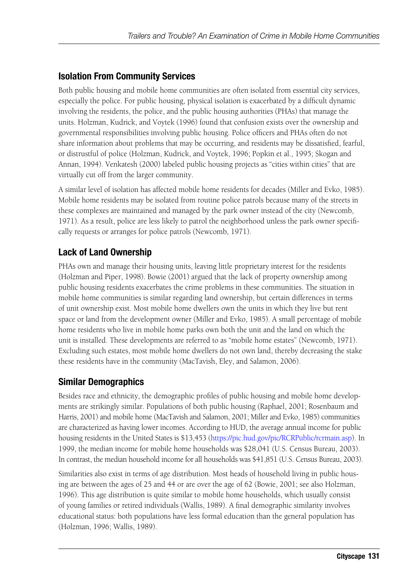#### **Isolation From Community Services**

Both public housing and mobile home communities are often isolated from essential city services, especially the police. For public housing, physical isolation is exacerbated by a difficult dynamic involving the residents, the police, and the public housing authorities (PHAs) that manage the units. Holzman, Kudrick, and Voytek (1996) found that confusion exists over the ownership and governmental responsibilities involving public housing. Police officers and PHAs often do not share information about problems that may be occurring, and residents may be dissatisfied, fearful, or distrustful of police (Holzman, Kudrick, and Voytek, 1996; Popkin et al., 1995; Skogan and Annan, 1994). Venkatesh (2000) labeled public housing projects as "cities within cities" that are virtually cut off from the larger community.

A similar level of isolation has affected mobile home residents for decades (Miller and Evko, 1985). Mobile home residents may be isolated from routine police patrols because many of the streets in these complexes are maintained and managed by the park owner instead of the city (Newcomb, 1971). As a result, police are less likely to patrol the neighborhood unless the park owner specifically requests or arranges for police patrols (Newcomb, 1971).

#### **Lack of Land Ownership**

PHAs own and manage their housing units, leaving little proprietary interest for the residents (Holzman and Piper, 1998). Bowie (2001) argued that the lack of property ownership among public housing residents exacerbates the crime problems in these communities. The situation in mobile home communities is similar regarding land ownership, but certain differences in terms of unit ownership exist. Most mobile home dwellers own the units in which they live but rent space or land from the development owner (Miller and Evko, 1985). A small percentage of mobile home residents who live in mobile home parks own both the unit and the land on which the unit is installed. These developments are referred to as "mobile home estates" (Newcomb, 1971). Excluding such estates, most mobile home dwellers do not own land, thereby decreasing the stake these residents have in the community (MacTavish, Eley, and Salamon, 2006).

#### **Similar Demographics**

Besides race and ethnicity, the demographic profiles of public housing and mobile home developments are strikingly similar. Populations of both public housing (Raphael, 2001; Rosenbaum and Harris, 2001) and mobile home (MacTavish and Salamon, 2001; Miller and Evko, 1985) communities are characterized as having lower incomes. According to HUD, the average annual income for public housing residents in the United States is \$13,453 ([https://pic.hud.gov/pic/RCRPublic/rcrmain.asp\). In](https://pic.hud.gov/pic/RCRPublic/rcrmain.asp) 1999, the median income for mobile home households was \$28,041 (U.S. Census Bureau, 2003). In contrast, the median household income for all households was \$41,851 (U.S. Census Bureau, 2003).

Similarities also exist in terms of age distribution. Most heads of household living in public housing are between the ages of 25 and 44 or are over the age of 62 (Bowie, 2001; see also Holzman, 1996). This age distribution is quite similar to mobile home households, which usually consist of young families or retired individuals (Wallis, 1989). A final demographic similarity involves educational status: both populations have less formal education than the general population has (Holzman, 1996; Wallis, 1989).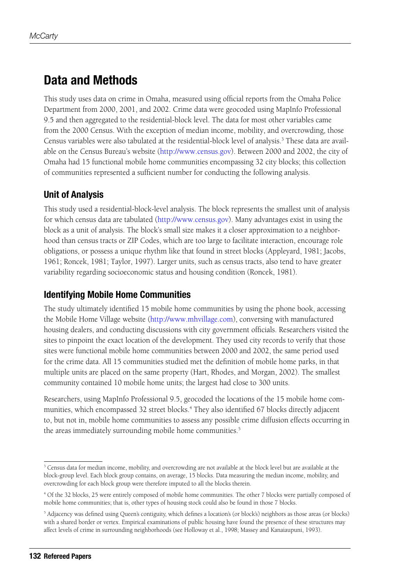### **Data and Methods**

This study uses data on crime in Omaha, measured using official reports from the Omaha Police Department from 2000, 2001, and 2002. Crime data were geocoded using MapInfo Professional 9.5 and then aggregated to the residential-block level. The data for most other variables came from the 2000 Census. With the exception of median income, mobility, and overcrowding, those Census variables were also tabulated at the residential-block level of analysis.<sup>3</sup> These data are available on the Census Bureau's website [\(http://www.census.gov\). Be](http://www.census.gov)tween 2000 and 2002, the city of Omaha had 15 functional mobile home communities encompassing 32 city blocks; this collection of communities represented a sufficient number for conducting the following analysis.

#### **Unit of Analysis**

This study used a residential-block-level analysis. The block represents the smallest unit of analysis for which census data are tabulated [\(http://www.census.gov\). M](http://www.census.gov)any advantages exist in using the block as a unit of analysis. The block's small size makes it a closer approximation to a neighborhood than census tracts or ZIP Codes, which are too large to facilitate interaction, encourage role obligations, or possess a unique rhythm like that found in street blocks (Appleyard, 1981; Jacobs, 1961; Roncek, 1981; Taylor, 1997). Larger units, such as census tracts, also tend to have greater variability regarding socioeconomic status and housing condition (Roncek, 1981).

#### **Identifying Mobile Home Communities**

The study ultimately identified 15 mobile home communities by using the phone book, accessing the Mobile Home Village website [\(http://www.mhvillage.com\), co](http://www.mhvillage.com)nversing with manufactured housing dealers, and conducting discussions with city government officials. Researchers visited the sites to pinpoint the exact location of the development. They used city records to verify that those sites were functional mobile home communities between 2000 and 2002, the same period used for the crime data. All 15 communities studied met the definition of mobile home parks, in that multiple units are placed on the same property (Hart, Rhodes, and Morgan, 2002). The smallest community contained 10 mobile home units; the largest had close to 300 units.

Researchers, using MapInfo Professional 9.5, geocoded the locations of the 15 mobile home communities, which encompassed 32 street blocks.<sup>4</sup> They also identified 67 blocks directly adjacent to, but not in, mobile home communities to assess any possible crime diffusion effects occurring in the areas immediately surrounding mobile home communities.<sup>5</sup>

<sup>&</sup>lt;sup>3</sup> Census data for median income, mobility, and overcrowding are not available at the block level but are available at the block-group level. Each block group contains, on average, 15 blocks. Data measuring the median income, mobility, and overcrowding for each block group were therefore imputed to all the blocks therein.

<sup>4</sup> Of the 32 blocks, 25 were entirely composed of mobile home communities. The other 7 blocks were partially composed of mobile home communities; that is, other types of housing stock could also be found in those 7 blocks.

<sup>5</sup> Adjacency was defined using Queen's contiguity, which defines a location's (or block's) neighbors as those areas (or blocks) with a shared border or vertex. Empirical examinations of public housing have found the presence of these structures may affect levels of crime in surrounding neighborhoods (see Holloway et al., 1998; Massey and Kanaiaupuni, 1993).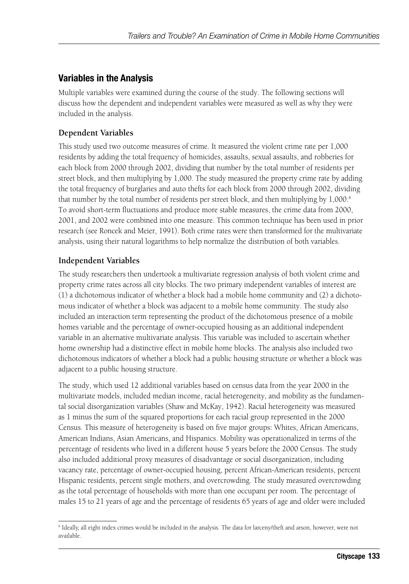#### **Variables in the Analysis**

Multiple variables were examined during the course of the study. The following sections will discuss how the dependent and independent variables were measured as well as why they were included in the analysis.

#### **Dependent Variables**

This study used two outcome measures of crime. It measured the violent crime rate per 1,000 residents by adding the total frequency of homicides, assaults, sexual assaults, and robberies for each block from 2000 through 2002, dividing that number by the total number of residents per street block, and then multiplying by 1,000. The study measured the property crime rate by adding the total frequency of burglaries and auto thefts for each block from 2000 through 2002, dividing that number by the total number of residents per street block, and then multiplying by 1,000.<sup>6</sup> To avoid short-term fluctuations and produce more stable measures, the crime data from 2000, 2001, and 2002 were combined into one measure. This common technique has been used in prior research (see Roncek and Meier, 1991). Both crime rates were then transformed for the multivariate analysis, using their natural logarithms to help normalize the distribution of both variables.

#### **Independent Variables**

The study researchers then undertook a multivariate regression analysis of both violent crime and property crime rates across all city blocks. The two primary independent variables of interest are (1) a dichotomous indicator of whether a block had a mobile home community and (2) a dichotomous indicator of whether a block was adjacent to a mobile home community. The study also included an interaction term representing the product of the dichotomous presence of a mobile homes variable and the percentage of owner-occupied housing as an additional independent variable in an alternative multivariate analysis. This variable was included to ascertain whether home ownership had a distinctive effect in mobile home blocks. The analysis also included two dichotomous indicators of whether a block had a public housing structure or whether a block was adjacent to a public housing structure.

The study, which used 12 additional variables based on census data from the year 2000 in the multivariate models, included median income, racial heterogeneity, and mobility as the fundamental social disorganization variables (Shaw and McKay, 1942). Racial heterogeneity was measured as 1 minus the sum of the squared proportions for each racial group represented in the 2000 Census. This measure of heterogeneity is based on five major groups: Whites, African Americans, American Indians, Asian Americans, and Hispanics. Mobility was operationalized in terms of the percentage of residents who lived in a different house 5 years before the 2000 Census. The study also included additional proxy measures of disadvantage or social disorganization, including vacancy rate, percentage of owner-occupied housing, percent African-American residents, percent Hispanic residents, percent single mothers, and overcrowding. The study measured overcrowding as the total percentage of households with more than one occupant per room. The percentage of males 15 to 21 years of age and the percentage of residents 65 years of age and older were included

<sup>6</sup> Ideally, all eight index crimes would be included in the analysis. The data for larceny/theft and arson, however, were not available.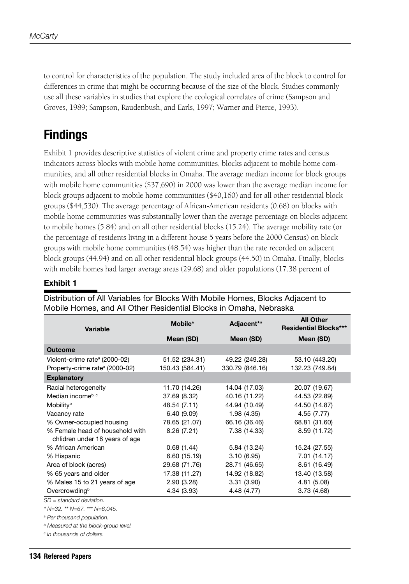to control for characteristics of the population. The study included area of the block to control for differences in crime that might be occurring because of the size of the block. Studies commonly use all these variables in studies that explore the ecological correlates of crime (Sampson and Groves, 1989; Sampson, Raudenbush, and Earls, 1997; Warner and Pierce, 1993).

# **Findings**

Exhibit 1 provides descriptive statistics of violent crime and property crime rates and census indicators across blocks with mobile home communities, blocks adjacent to mobile home communities, and all other residential blocks in Omaha. The average median income for block groups with mobile home communities (\$37,690) in 2000 was lower than the average median income for block groups adjacent to mobile home communities (\$40,160) and for all other residential block groups (\$44,530). The average percentage of African-American residents (0.68) on blocks with mobile home communities was substantially lower than the average percentage on blocks adjacent to mobile homes (5.84) and on all other residential blocks (15.24). The average mobility rate (or the percentage of residents living in a different house 5 years before the 2000 Census) on block groups with mobile home communities (48.54) was higher than the rate recorded on adjacent block groups (44.94) and on all other residential block groups (44.50) in Omaha. Finally, blocks with mobile homes had larger average areas (29.68) and older populations (17.38 percent of

#### **Exhibit 1**

| <b>Variable</b>                            | Mobile*         | Adjacent**      | <b>All Other</b><br><b>Residential Blocks***</b> |  |
|--------------------------------------------|-----------------|-----------------|--------------------------------------------------|--|
|                                            | Mean (SD)       | Mean (SD)       | Mean (SD)                                        |  |
| <b>Outcome</b>                             |                 |                 |                                                  |  |
| Violent-crime rate <sup>a</sup> (2000-02)  | 51.52 (234.31)  | 49.22 (249.28)  | 53.10 (443.20)                                   |  |
| Property-crime rate <sup>a</sup> (2000-02) | 150.43 (584.41) | 330.79 (846.16) | 132.23 (749.84)                                  |  |
| <b>Explanatory</b>                         |                 |                 |                                                  |  |
| Racial heterogeneity                       | 11.70 (14.26)   | 14.04 (17.03)   | 20.07 (19.67)                                    |  |
| Median incomeb, c                          | 37.69 (8.32)    | 40.16 (11.22)   | 44.53 (22.89)                                    |  |
| Mobility <sup>b</sup>                      | 48.54 (7.11)    | 44.94 (10.49)   | 44.50 (14.87)                                    |  |
| Vacancy rate                               | 6.40(9.09)      | 1.98(4.35)      | 4.55 (7.77)                                      |  |
| % Owner-occupied housing                   | 78.65 (21.07)   | 66.16 (36.46)   | 68.81 (31.60)                                    |  |
| % Female head of household with            | 8.26(7.21)      | 7.38 (14.33)    | 8.59 (11.72)                                     |  |
| chlidren under 18 years of age             |                 |                 |                                                  |  |
| % African American                         | 0.68(1.44)      | 5.84 (13.24)    | 15.24 (27.55)                                    |  |
| % Hispanic                                 | 6.60(15.19)     | 3.10(6.95)      | 7.01 (14.17)                                     |  |
| Area of block (acres)                      | 29.68 (71.76)   | 28.71 (46.65)   | 8.61 (16.49)                                     |  |
| % 65 years and older                       | 17.38 (11.27)   | 14.92 (18.82)   | 13.40 (13.58)                                    |  |
| % Males 15 to 21 years of age              | 2.90(3.28)      | 3.31(3.90)      | 4.81 (5.08)                                      |  |
| Overcrowding <sup>b</sup>                  | 4.34 (3.93)     | 4.48 (4.77)     | 3.73(4.68)                                       |  |

Distribution of All Variables for Blocks With Mobile Homes, Blocks Adjacent to Mobile Homes, and All Other Residential Blocks in Omaha, Nebraska

*SD = standard deviation.*

*\* N=32. \*\* N=67. \*\*\* N=6,045.*

*a Per thousand population.*

*b Measured at the block-group level.*

*c In thousands of dollars.*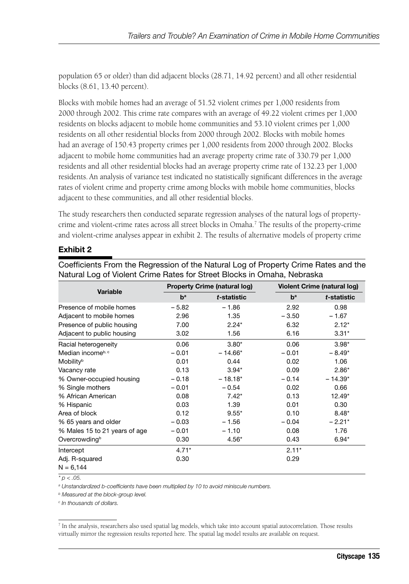population 65 or older) than did adjacent blocks (28.71, 14.92 percent) and all other residential blocks (8.61, 13.40 percent).

Blocks with mobile homes had an average of 51.52 violent crimes per 1,000 residents from 2000 through 2002. This crime rate compares with an average of 49.22 violent crimes per 1,000 residents on blocks adjacent to mobile home communities and 53.10 violent crimes per 1,000 residents on all other residential blocks from 2000 through 2002. Blocks with mobile homes had an average of 150.43 property crimes per 1,000 residents from 2000 through 2002. Blocks adjacent to mobile home communities had an average property crime rate of 330.79 per 1,000 residents and all other residential blocks had an average property crime rate of 132.23 per 1,000 residents.An analysis of variance test indicated no statistically significant differences in the average rates of violent crime and property crime among blocks with mobile home communities, blocks adjacent to these communities, and all other residential blocks.

The study researchers then conducted separate regression analyses of the natural logs of propertycrime and violent-crime rates across all street blocks in Omaha.7 The results of the property-crime and violent-crime analyses appear in exhibit 2. The results of alternative models of property crime

#### **Exhibit 2**

| Natural Log of Violent Crime Rates for Street Blocks in Omaha, Nebraska |         |                                     |         |                                    |  |  |
|-------------------------------------------------------------------------|---------|-------------------------------------|---------|------------------------------------|--|--|
| Variable                                                                |         | <b>Property Crime (natural log)</b> |         | <b>Violent Crime (natural log)</b> |  |  |
|                                                                         | $b^a$   | t-statistic                         | $b^a$   | t-statistic                        |  |  |
| Presence of mobile homes                                                | $-5.82$ | $-1.86$                             | 2.92    | 0.98                               |  |  |
| Adjacent to mobile homes                                                | 2.96    | 1.35                                | $-3.50$ | $-1.67$                            |  |  |
| Presence of public housing                                              | 7.00    | $2.24*$                             | 6.32    | $2.12*$                            |  |  |
| Adjacent to public housing                                              | 3.02    | 1.56                                | 6.16    | $3.31*$                            |  |  |
| Racial heterogeneity                                                    | 0.06    | $3.80*$                             | 0.06    | $3.98*$                            |  |  |
| Median incomeb, c                                                       | $-0.01$ | $-14.66*$                           | $-0.01$ | $-8.49*$                           |  |  |
| Mobility <sup>b</sup>                                                   | 0.01    | 0.44                                | 0.02    | 1.06                               |  |  |
| Vacancy rate                                                            | 0.13    | $3.94*$                             | 0.09    | $2.86*$                            |  |  |
| % Owner-occupied housing                                                | $-0.18$ | $-18.18*$                           | $-0.14$ | $-14.39*$                          |  |  |
| % Single mothers                                                        | $-0.01$ | $-0.54$                             | 0.02    | 0.66                               |  |  |
| % African American                                                      | 0.08    | $7.42*$                             | 0.13    | $12.49*$                           |  |  |
| % Hispanic                                                              | 0.03    | 1.39                                | 0.01    | 0.30                               |  |  |
| Area of block                                                           | 0.12    | $9.55*$                             | 0.10    | $8.48*$                            |  |  |
| % 65 years and older                                                    | $-0.03$ | $-1.56$                             | $-0.04$ | $-2.21*$                           |  |  |
| % Males 15 to 21 years of age                                           | $-0.01$ | $-1.10$                             | 0.08    | 1.76                               |  |  |
| Overcrowding <sup>b</sup>                                               | 0.30    | $4.56*$                             | 0.43    | $6.94*$                            |  |  |
| Intercept                                                               | $4.71*$ |                                     | $2.11*$ |                                    |  |  |
| Adj. R-squared                                                          | 0.30    |                                     | 0.29    |                                    |  |  |
| $N = 6.144$                                                             |         |                                     |         |                                    |  |  |

Coefficients From the Regression of the Natural Log of Property Crime Rates and the

*\* p < .05.*

*a Unstandardized b-coefficients have been multiplied by 10 to avoid miniscule numbers.*

*b Measured at the block-group level.*

*c In thousands of dollars.*

<sup>7</sup> In the analysis, researchers also used spatial lag models, which take into account spatial autocorrelation. Those results virtually mirror the regression results reported here. The spatial lag model results are available on request.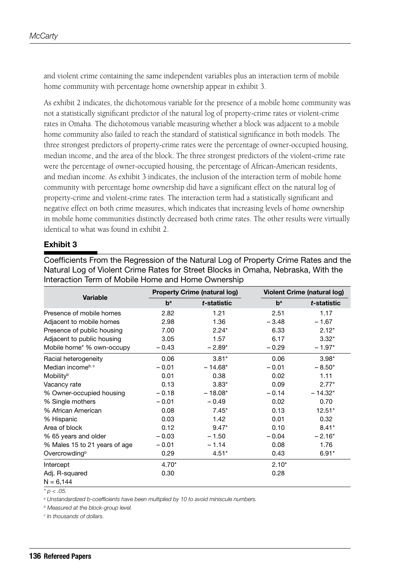and violent crime containing the same independent variables plus an interaction term of mobile home community with percentage home ownership appear in exhibit 3.

As exhibit 2 indicates, the dichotomous variable for the presence of a mobile home community was not a statistically significant predictor of the natural log of property-crime rates or violent-crime rates in Omaha. The dichotomous variable measuring whether a block was adjacent to a mobile home community also failed to reach the standard of statistical significance in both models. The three strongest predictors of property-crime rates were the percentage of owner-occupied housing, median income, and the area of the block. The three strongest predictors of the violent-crime rate were the percentage of owner-occupied housing, the percentage of African-American residents, and median income. As exhibit 3 indicates, the inclusion of the interaction term of mobile home community with percentage home ownership did have a significant effect on the natural log of property-crime and violent-crime rates. The interaction term had a statistically significant and negative effect on both crime measures, which indicates that increasing levels of home ownership in mobile home communities distinctly decreased both crime rates. The other results were virtually identical to what was found in exhibit 2.

#### **Exhibit 3**

Coefficients From the Regression of the Natural Log of Property Crime Rates and the Natural Log of Violent Crime Rates for Street Blocks in Omaha, Nebraska, With the Interaction Term of Mobile Home and Home Ownership

| <b>Variable</b>               |         | <b>Property Crime (natural log)</b> |         | <b>Violent Crime (natural log)</b> |  |
|-------------------------------|---------|-------------------------------------|---------|------------------------------------|--|
|                               | $b^a$   | t-statistic                         | $b^a$   | t-statistic                        |  |
| Presence of mobile homes      | 2.82    | 1.21                                | 2.51    | 1.17                               |  |
| Adjacent to mobile homes      | 2.98    | 1.36                                | $-3.48$ | $-1.67$                            |  |
| Presence of public housing    | 7.00    | $2.24*$                             | 6.33    | $2.12*$                            |  |
| Adjacent to public housing    | 3.05    | 1.57                                | 6.17    | $3.32*$                            |  |
| Mobile home* % own-occupy     | $-0.43$ | $-2.89*$                            | $-0.29$ | $-1.97*$                           |  |
| Racial heterogeneity          | 0.06    | $3.81*$                             | 0.06    | $3.98*$                            |  |
| Median incomeb, c             | $-0.01$ | $-14.68*$                           | $-0.01$ | $-8.50*$                           |  |
| Mobility <sup>b</sup>         | 0.01    | 0.38                                | 0.02    | 1.11                               |  |
| Vacancy rate                  | 0.13    | $3.83*$                             | 0.09    | $2.77*$                            |  |
| % Owner-occupied housing      | $-0.18$ | $-18.08*$                           | $-0.14$ | $-14.32*$                          |  |
| % Single mothers              | $-0.01$ | $-0.49$                             | 0.02    | 0.70                               |  |
| % African American            | 0.08    | $7.45*$                             | 0.13    | $12.51*$                           |  |
| % Hispanic                    | 0.03    | 1.42                                | 0.01    | 0.32                               |  |
| Area of block                 | 0.12    | $9.47*$                             | 0.10    | $8.41*$                            |  |
| % 65 years and older          | $-0.03$ | $-1.50$                             | $-0.04$ | $-2.16*$                           |  |
| % Males 15 to 21 years of age | $-0.01$ | $-1.14$                             | 0.08    | 1.76                               |  |
| Overcrowding <sup>b</sup>     | 0.29    | $4.51*$                             | 0.43    | $6.91*$                            |  |
| Intercept                     | $4.70*$ |                                     | $2.10*$ |                                    |  |
| Adj. R-squared                | 0.30    |                                     | 0.28    |                                    |  |
| $N = 6.144$                   |         |                                     |         |                                    |  |

*\* p < .05.*

*a Unstandardized b-coefficients have been multiplied by 10 to avoid miniscule numbers.*

*b Measured at the block-group level.*

*c In thousands of dollars.*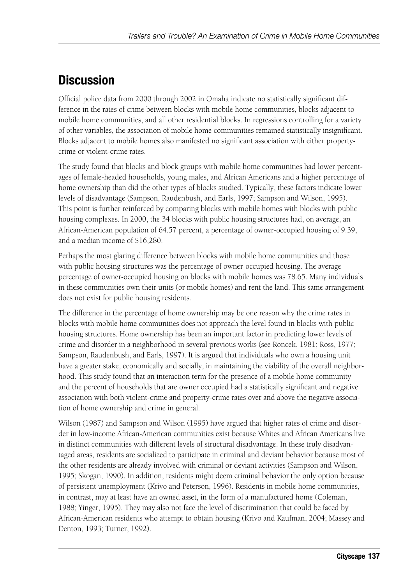## **Discussion**

Official police data from 2000 through 2002 in Omaha indicate no statistically significant difference in the rates of crime between blocks with mobile home communities, blocks adjacent to mobile home communities, and all other residential blocks. In regressions controlling for a variety of other variables, the association of mobile home communities remained statistically insignificant. Blocks adjacent to mobile homes also manifested no significant association with either propertycrime or violent-crime rates.

The study found that blocks and block groups with mobile home communities had lower percentages of female-headed households, young males, and African Americans and a higher percentage of home ownership than did the other types of blocks studied. Typically, these factors indicate lower levels of disadvantage (Sampson, Raudenbush, and Earls, 1997; Sampson and Wilson, 1995). This point is further reinforced by comparing blocks with mobile homes with blocks with public housing complexes. In 2000, the 34 blocks with public housing structures had, on average, an African-American population of 64.57 percent, a percentage of owner-occupied housing of 9.39, and a median income of \$16,280.

Perhaps the most glaring difference between blocks with mobile home communities and those with public housing structures was the percentage of owner-occupied housing. The average percentage of owner-occupied housing on blocks with mobile homes was 78.65. Many individuals in these communities own their units (or mobile homes) and rent the land. This same arrangement does not exist for public housing residents.

The difference in the percentage of home ownership may be one reason why the crime rates in blocks with mobile home communities does not approach the level found in blocks with public housing structures. Home ownership has been an important factor in predicting lower levels of crime and disorder in a neighborhood in several previous works (see Roncek, 1981; Ross, 1977; Sampson, Raudenbush, and Earls, 1997). It is argued that individuals who own a housing unit have a greater stake, economically and socially, in maintaining the viability of the overall neighborhood. This study found that an interaction term for the presence of a mobile home community and the percent of households that are owner occupied had a statistically significant and negative association with both violent-crime and property-crime rates over and above the negative association of home ownership and crime in general.

Wilson (1987) and Sampson and Wilson (1995) have argued that higher rates of crime and disorder in low-income African-American communities exist because Whites and African Americans live in distinct communities with different levels of structural disadvantage. In these truly disadvantaged areas, residents are socialized to participate in criminal and deviant behavior because most of the other residents are already involved with criminal or deviant activities (Sampson and Wilson, 1995; Skogan, 1990). In addition, residents might deem criminal behavior the only option because of persistent unemployment (Krivo and Peterson, 1996). Residents in mobile home communities, in contrast, may at least have an owned asset, in the form of a manufactured home (Coleman, 1988; Yinger, 1995). They may also not face the level of discrimination that could be faced by African-American residents who attempt to obtain housing (Krivo and Kaufman, 2004; Massey and Denton, 1993; Turner, 1992).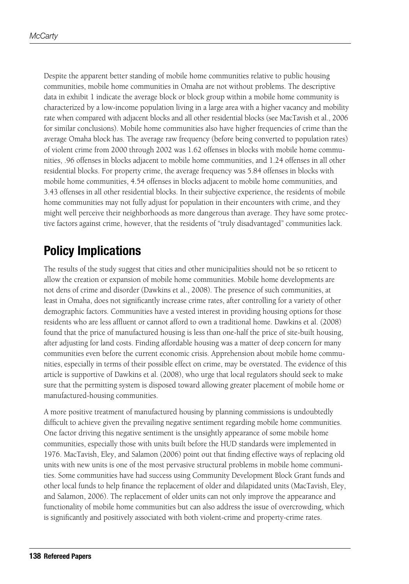Despite the apparent better standing of mobile home communities relative to public housing communities, mobile home communities in Omaha are not without problems. The descriptive data in exhibit 1 indicate the average block or block group within a mobile home community is characterized by a low-income population living in a large area with a higher vacancy and mobility rate when compared with adjacent blocks and all other residential blocks (see MacTavish et al., 2006 for similar conclusions). Mobile home communities also have higher frequencies of crime than the average Omaha block has. The average raw frequency (before being converted to population rates) of violent crime from 2000 through 2002 was 1.62 offenses in blocks with mobile home communities, .96 offenses in blocks adjacent to mobile home communities, and 1.24 offenses in all other residential blocks. For property crime, the average frequency was 5.84 offenses in blocks with mobile home communities, 4.54 offenses in blocks adjacent to mobile home communities, and 3.43 offenses in all other residential blocks. In their subjective experience, the residents of mobile home communities may not fully adjust for population in their encounters with crime, and they might well perceive their neighborhoods as more dangerous than average. They have some protective factors against crime, however, that the residents of "truly disadvantaged" communities lack.

## **Policy Implications**

The results of the study suggest that cities and other municipalities should not be so reticent to allow the creation or expansion of mobile home communities. Mobile home developments are not dens of crime and disorder (Dawkins et al., 2008). The presence of such communities, at least in Omaha, does not significantly increase crime rates, after controlling for a variety of other demographic factors. Communities have a vested interest in providing housing options for those residents who are less affluent or cannot afford to own a traditional home. Dawkins et al. (2008) found that the price of manufactured housing is less than one-half the price of site-built housing, after adjusting for land costs. Finding affordable housing was a matter of deep concern for many communities even before the current economic crisis. Apprehension about mobile home communities, especially in terms of their possible effect on crime, may be overstated. The evidence of this article is supportive of Dawkins et al. (2008), who urge that local regulators should seek to make sure that the permitting system is disposed toward allowing greater placement of mobile home or manufactured-housing communities.

A more positive treatment of manufactured housing by planning commissions is undoubtedly difficult to achieve given the prevailing negative sentiment regarding mobile home communities. One factor driving this negative sentiment is the unsightly appearance of some mobile home communities, especially those with units built before the HUD standards were implemented in 1976. MacTavish, Eley, and Salamon (2006) point out that finding effective ways of replacing old units with new units is one of the most pervasive structural problems in mobile home communities. Some communities have had success using Community Development Block Grant funds and other local funds to help finance the replacement of older and dilapidated units (MacTavish, Eley, and Salamon, 2006). The replacement of older units can not only improve the appearance and functionality of mobile home communities but can also address the issue of overcrowding, which is significantly and positively associated with both violent-crime and property-crime rates.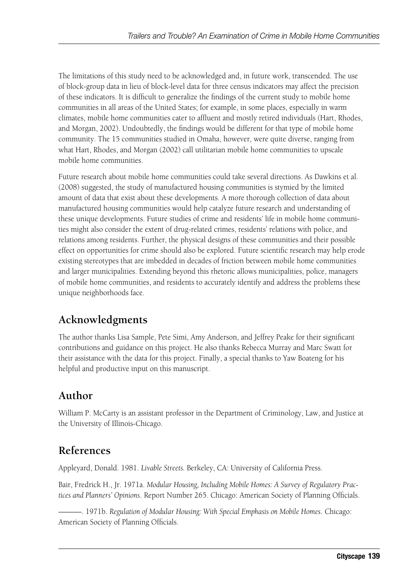The limitations of this study need to be acknowledged and, in future work, transcended. The use of block-group data in lieu of block-level data for three census indicators may affect the precision of these indicators. It is difficult to generalize the findings of the current study to mobile home communities in all areas of the United States; for example, in some places, especially in warm climates, mobile home communities cater to affluent and mostly retired individuals (Hart, Rhodes, and Morgan, 2002). Undoubtedly, the findings would be different for that type of mobile home community. The 15 communities studied in Omaha, however, were quite diverse, ranging from what Hart, Rhodes, and Morgan (2002) call utilitarian mobile home communities to upscale mobile home communities.

Future research about mobile home communities could take several directions. As Dawkins et al. (2008) suggested, the study of manufactured housing communities is stymied by the limited amount of data that exist about these developments. A more thorough collection of data about manufactured housing communities would help catalyze future research and understanding of these unique developments. Future studies of crime and residents' life in mobile home communities might also consider the extent of drug-related crimes, residents' relations with police, and relations among residents. Further, the physical designs of these communities and their possible effect on opportunities for crime should also be explored. Future scientific research may help erode existing stereotypes that are imbedded in decades of friction between mobile home communities and larger municipalities. Extending beyond this rhetoric allows municipalities, police, managers of mobile home communities, and residents to accurately identify and address the problems these unique neighborhoods face.

### **Acknowledgments**

The author thanks Lisa Sample, Pete Simi, Amy Anderson, and Jeffrey Peake for their significant contributions and guidance on this project. He also thanks Rebecca Murray and Marc Swatt for their assistance with the data for this project. Finally, a special thanks to Yaw Boateng for his helpful and productive input on this manuscript.

### **Author**

William P. McCarty is an assistant professor in the Department of Criminology, Law, and Justice at the University of Illinois-Chicago.

### **References**

Appleyard, Donald. 1981. *Livable Streets.* Berkeley, CA: University of California Press.

Bair, Fredrick H., Jr. 1971a. *Modular Housing, Including Mobile Homes: A Survey of Regulatory Practices and Planners' Opinions*. Report Number 265. Chicago: American Society of Planning Officials.

———. 1971b. *Regulation of Modular Housing: With Special Emphasis on Mobile Homes*. Chicago: American Society of Planning Officials.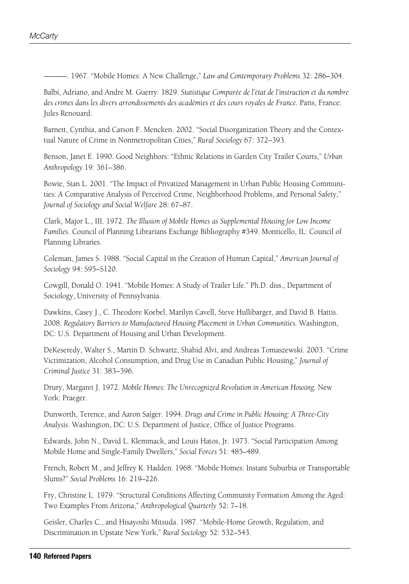———. 1967. "Mobile Homes: A New Challenge," *Law and Contemporary Problems* 32: 286–304.

Balbi, Adriano, and Andre M. Guerry. 1829. *Statistique Comparée de l'état de l'instruction et du nombre des crimes dans les divers arrondissements des académies et des cours royales de France.* Paris, France: Jules Renouard.

Barnett, Cynthia, and Carson F. Mencken. 2002. "Social Disorganization Theory and the Contextual Nature of Crime in Nonmetropolitan Cities," *Rural Sociology* 67: 372–393.

Benson, Janet E. 1990. Good Neighbors: "Ethnic Relations in Garden City Trailer Courts," *Urban Anthropology* 19: 361–386.

Bowie, Stan L. 2001. "The Impact of Privatized Management in Urban Public Housing Communities: A Comparative Analysis of Perceived Crime, Neighborhood Problems, and Personal Safety," *Journal of Sociology and Social Welfare* 28: 67–87.

Clark, Major L., III. 1972. *The Illusion of Mobile Homes as Supplemental Housing for Low Income Families*. Council of Planning Librarians Exchange Bibliography #349. Monticello, IL: Council of Planning Libraries.

Coleman, James S. 1988. "Social Capital in the Creation of Human Capital," *American Journal of Sociology* 94: S95–S120.

Cowgill, Donald O. 1941. "Mobile Homes: A Study of Trailer Life." Ph.D. diss., Department of Sociology, University of Pennsylvania.

Dawkins, Casey J., C. Theodore Koebel, Marilyn Cavell, Steve Hullibarger, and David B. Hattis. 2008. *Regulatory Barriers to Manufactured Housing Placement in Urban Communities.* Washington, DC: U.S. Department of Housing and Urban Development.

DeKeseredy, Walter S., Martin D. Schwartz, Shahid Alvi, and Andreas Tomaszewski. 2003. "Crime Victimization, Alcohol Consumption, and Drug Use in Canadian Public Housing," *Journal of Criminal Justice* 31: 383–396.

Drury, Margaret J. 1972. *Mobile Homes: The Unrecognized Revolution in American Housing.* New York: Praeger.

Dunworth, Terence, and Aaron Saiger. 1994. *Drugs and Crime in Public Housing: A Three-City Analysis*. Washington, DC: U.S. Department of Justice, Office of Justice Programs.

Edwards, John N., David L. Klemmack, and Louis Hatos, Jr. 1973. "Social Participation Among Mobile Home and Single-Family Dwellers," *Social Forces* 51: 485–489.

French, Robert M., and Jeffrey K. Hadden. 1968. "Mobile Homes: Instant Suburbia or Transportable Slums?" *Social Problems* 16: 219–226.

Fry, Christine L. 1979. "Structural Conditions Affecting Community Formation Among the Aged: Two Examples From Arizona," *Anthropological Quarterly* 52: 7–18.

Geisler, Charles C., and Hisayoshi Mitsuda. 1987. "Mobile-Home Growth, Regulation, and Discrimination in Upstate New York," *Rural Sociology* 52: 532–543.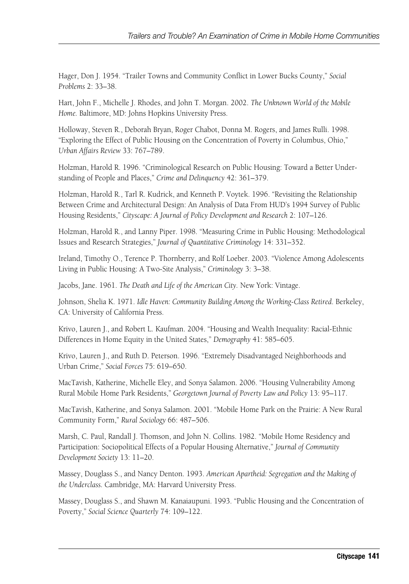Hager, Don J. 1954. "Trailer Towns and Community Conflict in Lower Bucks County," *Social Problems* 2: 33–38.

Hart, John F., Michelle J. Rhodes, and John T. Morgan. 2002. *The Unknown World of the Mobile Home.* Baltimore, MD: Johns Hopkins University Press.

Holloway, Steven R., Deborah Bryan, Roger Chabot, Donna M. Rogers, and James Rulli. 1998. "Exploring the Effect of Public Housing on the Concentration of Poverty in Columbus, Ohio," *Urban Affairs Review* 33: 767–789.

Holzman, Harold R. 1996. "Criminological Research on Public Housing: Toward a Better Understanding of People and Places," *Crime and Delinquency* 42: 361–379.

Holzman, Harold R., Tarl R. Kudrick, and Kenneth P. Voytek. 1996. "Revisiting the Relationship Between Crime and Architectural Design: An Analysis of Data From HUD's 1994 Survey of Public Housing Residents," *Cityscape: A Journal of Policy Development and Research* 2: 107–126.

Holzman, Harold R., and Lanny Piper. 1998. "Measuring Crime in Public Housing: Methodological Issues and Research Strategies," *Journal of Quantitative Criminology* 14: 331–352.

Ireland, Timothy O., Terence P. Thornberry, and Rolf Loeber. 2003. "Violence Among Adolescents Living in Public Housing: A Two-Site Analysis," *Criminology* 3: 3–38.

Jacobs, Jane. 1961. *The Death and Life of the American City.* New York: Vintage.

Johnson, Shelia K. 1971. *Idle Haven: Community Building Among the Working-Class Retired*. Berkeley, CA: University of California Press.

Krivo, Lauren J., and Robert L. Kaufman. 2004. "Housing and Wealth Inequality: Racial-Ethnic Differences in Home Equity in the United States," *Demography* 41: 585–605.

Krivo, Lauren J., and Ruth D. Peterson. 1996. "Extremely Disadvantaged Neighborhoods and Urban Crime," *Social Forces* 75: 619–650.

MacTavish, Katherine, Michelle Eley, and Sonya Salamon. 2006. "Housing Vulnerability Among Rural Mobile Home Park Residents," *Georgetown Journal of Poverty Law and Policy* 13: 95–117.

MacTavish, Katherine, and Sonya Salamon. 2001. "Mobile Home Park on the Prairie: A New Rural Community Form," *Rural Sociology* 66: 487–506.

Marsh, C. Paul, Randall J. Thomson, and John N. Collins. 1982. "Mobile Home Residency and Participation: Sociopolitical Effects of a Popular Housing Alternative," *Journal of Community Development Society* 13: 11–20.

Massey, Douglass S., and Nancy Denton. 1993. *American Apartheid: Segregation and the Making of the Underclass.* Cambridge, MA: Harvard University Press.

Massey, Douglass S., and Shawn M. Kanaiaupuni. 1993. "Public Housing and the Concentration of Poverty," *Social Science Quarterly* 74: 109–122.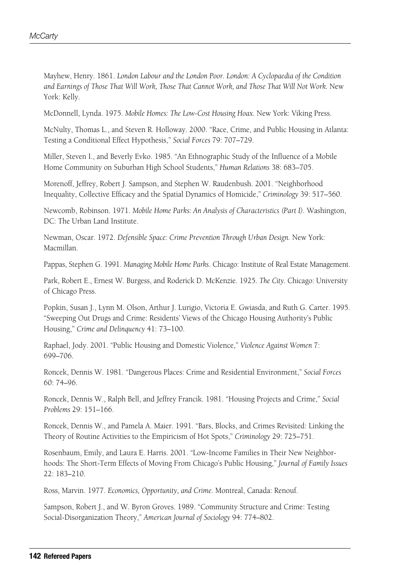Mayhew, Henry. 1861. *London Labour and the London Poor. London: A Cyclopaedia of the Condition*  and Earnings of Those That Will Work, Those That Cannot Work, and Those That Will Not Work. New York: Kelly.

McDonnell, Lynda. 1975. *Mobile Homes: The Low-Cost Housing Hoax.* New York: Viking Press.

McNulty, Thomas L., and Steven R. Holloway. 2000. "Race, Crime, and Public Housing in Atlanta: Testing a Conditional Effect Hypothesis," *Social Forces* 79: 707–729.

Miller, Steven I., and Beverly Evko. 1985. "An Ethnographic Study of the Influence of a Mobile Home Community on Suburban High School Students," *Human Relations* 38: 683–705.

Morenoff, Jeffrey, Robert J. Sampson, and Stephen W. Raudenbush. 2001. "Neighborhood Inequality, Collective Efficacy and the Spatial Dynamics of Homicide," *Criminology* 39: 517–560.

Newcomb, Robinson. 1971. *Mobile Home Parks: An Analysis of Characteristics (Part I)*. Washington, DC: The Urban Land Institute.

Newman, Oscar. 1972. *Defensible Space: Crime Prevention Through Urban Design.* New York: Macmillan.

Pappas, Stephen G. 1991. *Managing Mobile Home Parks*. Chicago: Institute of Real Estate Management.

Park, Robert E., Ernest W. Burgess, and Roderick D. McKenzie. 1925. *The City.* Chicago: University of Chicago Press.

Popkin, Susan J., Lynn M. Olson, Arthur J. Lurigio, Victoria E. Gwiasda, and Ruth G. Carter. 1995. "Sweeping Out Drugs and Crime: Residents' Views of the Chicago Housing Authority's Public Housing," *Crime and Delinquency* 41: 73–100.

Raphael, Jody. 2001. "Public Housing and Domestic Violence," *Violence Against Women* 7: 699–706.

Roncek, Dennis W. 1981. "Dangerous Places: Crime and Residential Environment," *Social Forces*  60: 74–96.

Roncek, Dennis W., Ralph Bell, and Jeffrey Francik. 1981. "Housing Projects and Crime," *Social Problems* 29: 151–166.

Roncek, Dennis W., and Pamela A. Maier. 1991. "Bars, Blocks, and Crimes Revisited: Linking the Theory of Routine Activities to the Empiricism of Hot Spots," *Criminology* 29: 725–751.

Rosenbaum, Emily, and Laura E. Harris. 2001. "Low-Income Families in Their New Neighborhoods: The Short-Term Effects of Moving From Chicago's Public Housing," *Journal of Family Issues* 22: 183–210.

Ross, Marvin. 1977. *Economics, Opportunity, and Crime.* Montreal, Canada: Renouf.

Sampson, Robert J., and W. Byron Groves. 1989. "Community Structure and Crime: Testing Social-Disorganization Theory," *American Journal of Sociology* 94: 774–802.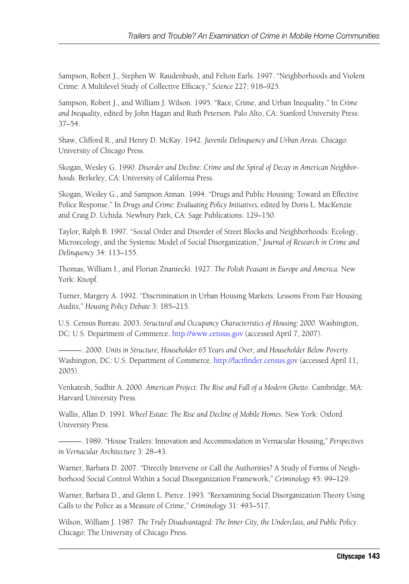Sampson, Robert J., Stephen W. Raudenbush, and Felton Earls. 1997. "Neighborhoods and Violent Crime: A Multilevel Study of Collective Efficacy," *Science* 227: 918–925.

Sampson, Robert J., and William J. Wilson. 1995. "Race, Crime, and Urban Inequality." In *Crime and Inequality,* edited by John Hagan and Ruth Peterson. Palo Alto, CA: Stanford University Press: 37–54.

Shaw, Clifford R., and Henry D. McKay. 1942. *Juvenile Delinquency and Urban Areas*. Chicago: University of Chicago Press.

Skogan, Wesley G. 1990. *Disorder and Decline: Crime and the Spiral of Decay in American Neighborhoods.* Berkeley, CA: University of California Press.

Skogan, Wesley G., and Sampson Annan. 1994. "Drugs and Public Housing: Toward an Effective Police Response." In *Drugs and Crime: Evaluating Policy Initiatives,* edited by Doris L. MacKenzie and Craig D. Uchida. Newbury Park, CA: Sage Publications: 129–150.

Taylor, Ralph B. 1997. "Social Order and Disorder of Street Blocks and Neighborhoods: Ecology, Microecology, and the Systemic Model of Social Disorganization," *Journal of Research in Crime and Delinquency* 34: 113–155.

Thomas, William I., and Florian Znaniecki. 1927. *The Polish Peasant in Europe and America.* New York: Knopf.

Turner, Margery A. 1992. "Discrimination in Urban Housing Markets: Lessons From Fair Housing Audits," *Housing Policy Debate* 3: 185–215.

U.S. Census Bureau. 2003. *Structural and Occupancy Characteristics of Housing: 2000*. Washington, DC: U.S. Department of Commerce. [http://www.census.gov \(ac](http://www.census.gov)cessed April 7, 2007).

———. 2000. *Units in Structure, Householder 65 Years and Over, and Householder Below Poverty*. Washington, DC: U.S. Department of Commerce. [http://factfinder.census.gov \(ac](http://factfinder.census.gov)cessed April 11, 2005).

Venkatesh, Sudhir A. 2000. *American Project: The Rise and Fall of a Modern Ghetto*. Cambridge, MA: Harvard University Press.

Wallis, Allan D. 1991. *Wheel Estate: The Rise and Decline of Mobile Homes*. New York: Oxford University Press.

———. 1989. "House Trailers: Innovation and Accommodation in Vernacular Housing," *Perspectives in Vernacular Architecture* 3: 28–43.

Warner, Barbara D. 2007. "Directly Intervene or Call the Authorities? A Study of Forms of Neighborhood Social Control Within a Social Disorganization Framework," *Criminology* 45: 99–129.

Warner, Barbara D., and Glenn L. Pierce. 1993. "Reexamining Social Disorganization Theory Using Calls to the Police as a Measure of Crime," *Criminology* 31: 493–517.

Wilson, William J. 1987. *The Truly Disadvantaged: The Inner City, the Underclass, and Public Policy.*  Chicago: The University of Chicago Press.